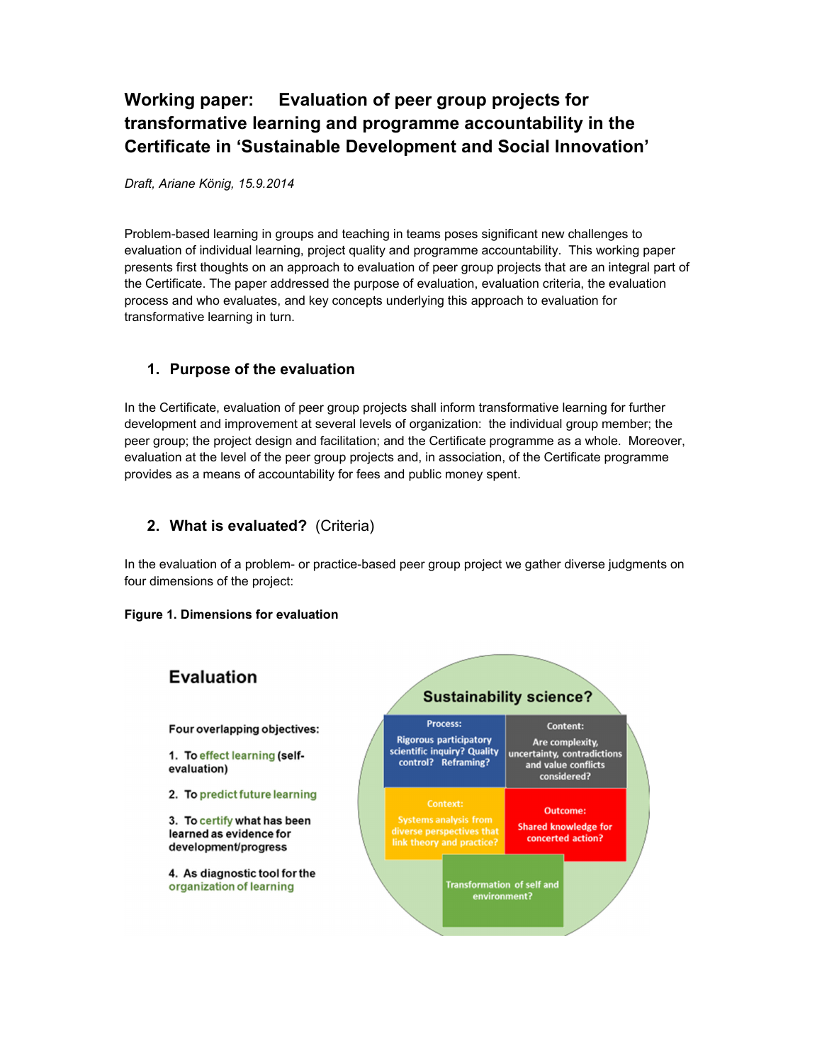## **Working paper: Evaluation of peer group projects for transformative learning and programme accountability in the Certificate in 'Sustainable Development and Social Innovation'**

*Draft, Ariane König, 15.9.2014* 

Problem-based learning in groups and teaching in teams poses significant new challenges to evaluation of individual learning, project quality and programme accountability. This working paper presents first thoughts on an approach to evaluation of peer group projects that are an integral part of the Certificate. The paper addressed the purpose of evaluation, evaluation criteria, the evaluation process and who evaluates, and key concepts underlying this approach to evaluation for transformative learning in turn.

#### **1. Purpose of the evaluation**

In the Certificate, evaluation of peer group projects shall inform transformative learning for further development and improvement at several levels of organization: the individual group member; the peer group; the project design and facilitation; and the Certificate programme as a whole. Moreover, evaluation at the level of the peer group projects and, in association, of the Certificate programme provides as a means of accountability for fees and public money spent.

#### **2. What is evaluated?** (Criteria)

In the evaluation of a problem- or practice-based peer group project we gather diverse judgments on four dimensions of the project:

#### **Figure 1. Dimensions for evaluation**

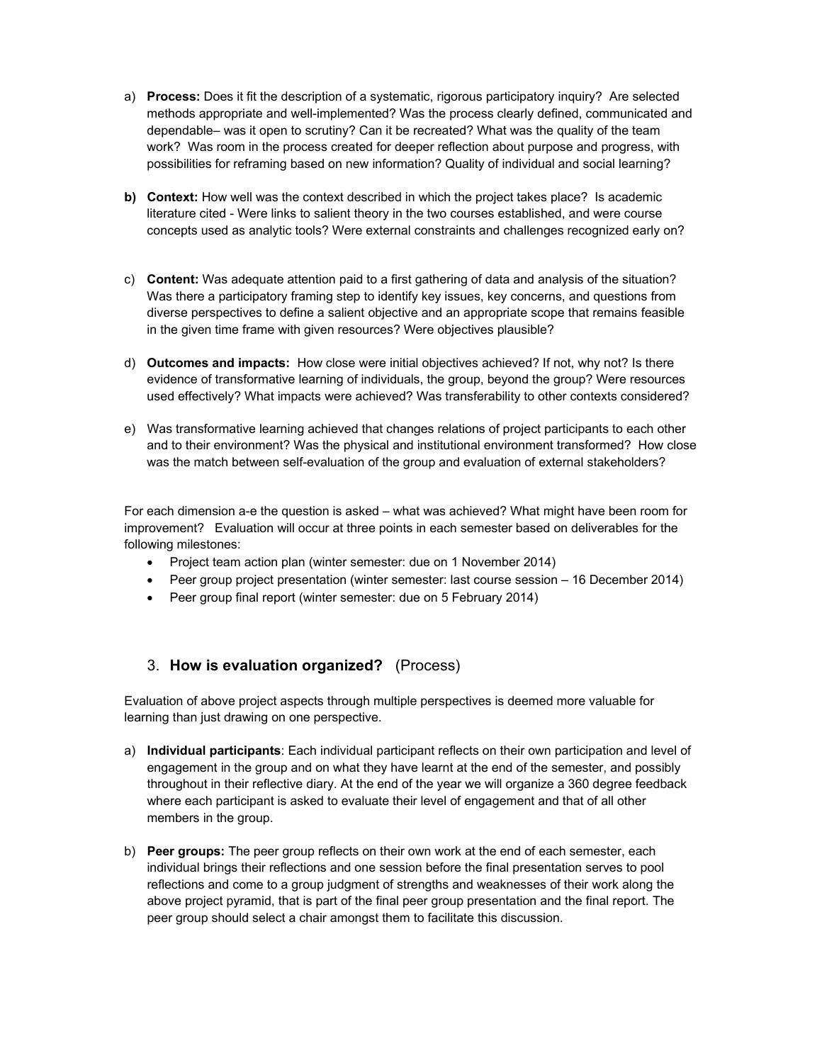- a) **Process:** Does it fit the description of a systematic, rigorous participatory inquiry? Are selected methods appropriate and well-implemented? Was the process clearly defined, communicated and dependable– was it open to scrutiny? Can it be recreated? What was the quality of the team work? Was room in the process created for deeper reflection about purpose and progress, with possibilities for reframing based on new information? Quality of individual and social learning?
- **b)** Context: How well was the context described in which the project takes place? Is academic literature cited - Were links to salient theory in the two courses established, and were course concepts used as analytic tools? Were external constraints and challenges recognized early on?
- c) **Content:** Was adequate attention paid to a first gathering of data and analysis of the situation? Was there a participatory framing step to identify key issues, key concerns, and questions from diverse perspectives to define a salient objective and an appropriate scope that remains feasible in the given time frame with given resources? Were objectives plausible?
- d) **Outcomes and impacts:** How close were initial objectives achieved? If not, why not? Is there evidence of transformative learning of individuals, the group, beyond the group? Were resources used effectively? What impacts were achieved? Was transferability to other contexts considered?
- e) Was transformative learning achieved that changes relations of project participants to each other and to their environment? Was the physical and institutional environment transformed? How close was the match between self-evaluation of the group and evaluation of external stakeholders?

For each dimension a-e the question is asked – what was achieved? What might have been room for improvement? Evaluation will occur at three points in each semester based on deliverables for the following milestones:

- Project team action plan (winter semester: due on 1 November 2014)
- Peer group project presentation (winter semester: last course session 16 December 2014)
- Peer group final report (winter semester: due on 5 February 2014)

## 3. **How is evaluation organized?** (Process)

Evaluation of above project aspects through multiple perspectives is deemed more valuable for learning than just drawing on one perspective.

- a) **Individual participants**: Each individual participant reflects on their own participation and level of engagement in the group and on what they have learnt at the end of the semester, and possibly throughout in their reflective diary. At the end of the year we will organize a 360 degree feedback where each participant is asked to evaluate their level of engagement and that of all other members in the group.
- b) **Peer groups:** The peer group reflects on their own work at the end of each semester, each individual brings their reflections and one session before the final presentation serves to pool reflections and come to a group judgment of strengths and weaknesses of their work along the above project pyramid, that is part of the final peer group presentation and the final report. The peer group should select a chair amongst them to facilitate this discussion.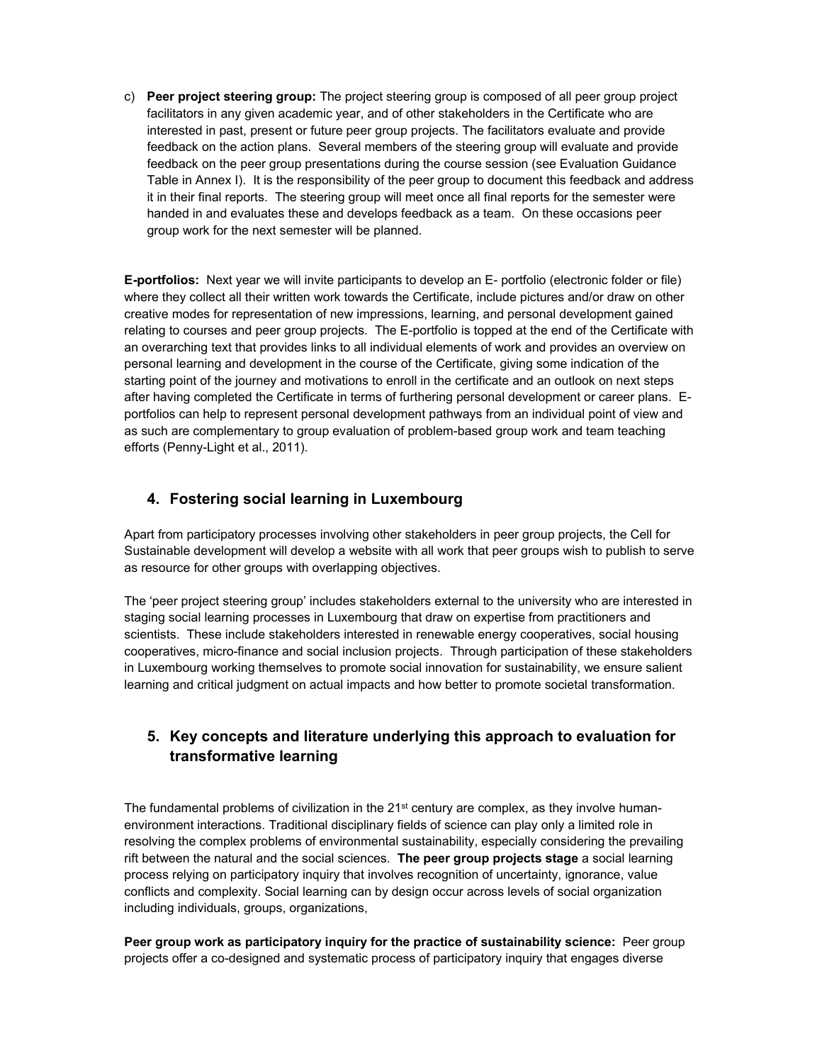c) **Peer project steering group:** The project steering group is composed of all peer group project facilitators in any given academic year, and of other stakeholders in the Certificate who are interested in past, present or future peer group projects. The facilitators evaluate and provide feedback on the action plans. Several members of the steering group will evaluate and provide feedback on the peer group presentations during the course session (see Evaluation Guidance Table in Annex I). It is the responsibility of the peer group to document this feedback and address it in their final reports. The steering group will meet once all final reports for the semester were handed in and evaluates these and develops feedback as a team. On these occasions peer group work for the next semester will be planned.

**E-portfolios:** Next year we will invite participants to develop an E- portfolio (electronic folder or file) where they collect all their written work towards the Certificate, include pictures and/or draw on other creative modes for representation of new impressions, learning, and personal development gained relating to courses and peer group projects. The E-portfolio is topped at the end of the Certificate with an overarching text that provides links to all individual elements of work and provides an overview on personal learning and development in the course of the Certificate, giving some indication of the starting point of the journey and motivations to enroll in the certificate and an outlook on next steps after having completed the Certificate in terms of furthering personal development or career plans. Eportfolios can help to represent personal development pathways from an individual point of view and as such are complementary to group evaluation of problem-based group work and team teaching efforts (Penny-Light et al., 2011).

#### **4. Fostering social learning in Luxembourg**

Apart from participatory processes involving other stakeholders in peer group projects, the Cell for Sustainable development will develop a website with all work that peer groups wish to publish to serve as resource for other groups with overlapping objectives.

The 'peer project steering group' includes stakeholders external to the university who are interested in staging social learning processes in Luxembourg that draw on expertise from practitioners and scientists. These include stakeholders interested in renewable energy cooperatives, social housing cooperatives, micro-finance and social inclusion projects. Through participation of these stakeholders in Luxembourg working themselves to promote social innovation for sustainability, we ensure salient learning and critical judgment on actual impacts and how better to promote societal transformation.

## **5. Key concepts and literature underlying this approach to evaluation for transformative learning**

The fundamental problems of civilization in the 21<sup>st</sup> century are complex, as they involve humanenvironment interactions. Traditional disciplinary fields of science can play only a limited role in resolving the complex problems of environmental sustainability, especially considering the prevailing rift between the natural and the social sciences. **The peer group projects stage** a social learning process relying on participatory inquiry that involves recognition of uncertainty, ignorance, value conflicts and complexity. Social learning can by design occur across levels of social organization including individuals, groups, organizations,

**Peer group work as participatory inquiry for the practice of sustainability science:** Peer group projects offer a co-designed and systematic process of participatory inquiry that engages diverse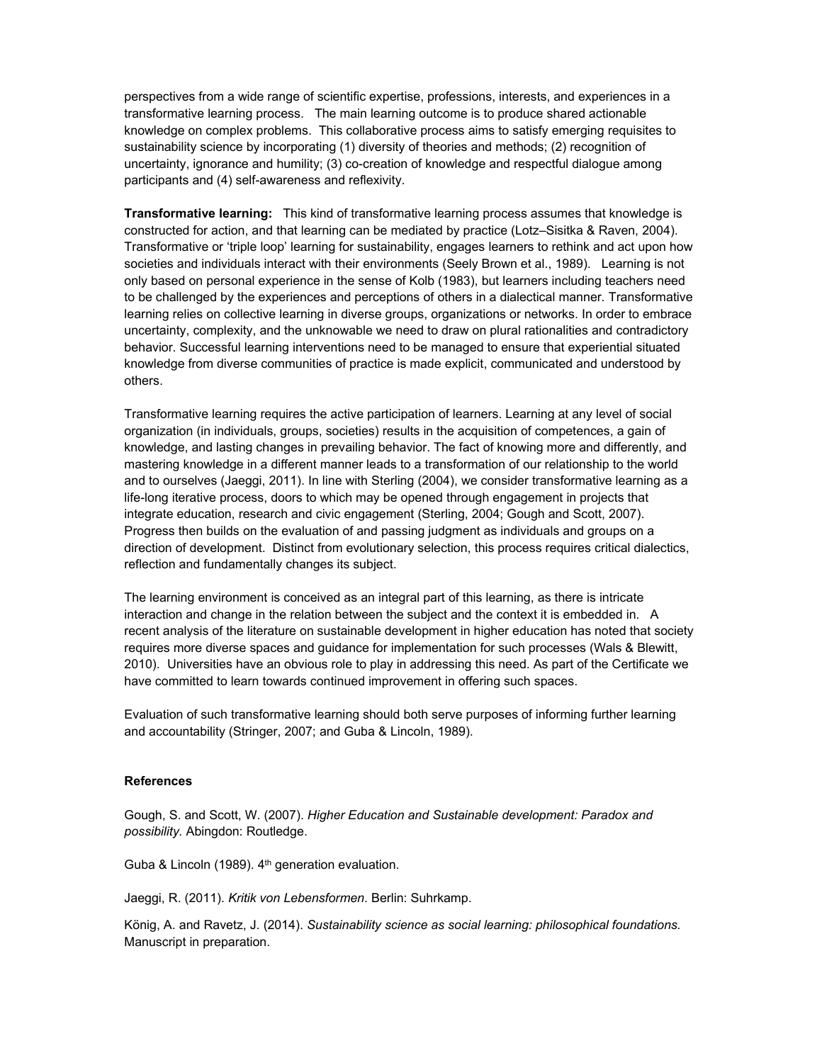perspectives from a wide range of scientific expertise, professions, interests, and experiences in a transformative learning process. The main learning outcome is to produce shared actionable knowledge on complex problems. This collaborative process aims to satisfy emerging requisites to sustainability science by incorporating (1) diversity of theories and methods; (2) recognition of uncertainty, ignorance and humility; (3) co-creation of knowledge and respectful dialogue among participants and (4) self-awareness and reflexivity.

**Transformative learning:** This kind of transformative learning process assumes that knowledge is constructed for action, and that learning can be mediated by practice (Lotz–Sisitka & Raven, 2004). Transformative or 'triple loop' learning for sustainability, engages learners to rethink and act upon how societies and individuals interact with their environments (Seely Brown et al., 1989). Learning is not only based on personal experience in the sense of Kolb (1983), but learners including teachers need to be challenged by the experiences and perceptions of others in a dialectical manner. Transformative learning relies on collective learning in diverse groups, organizations or networks. In order to embrace uncertainty, complexity, and the unknowable we need to draw on plural rationalities and contradictory behavior. Successful learning interventions need to be managed to ensure that experiential situated knowledge from diverse communities of practice is made explicit, communicated and understood by others.

Transformative learning requires the active participation of learners. Learning at any level of social organization (in individuals, groups, societies) results in the acquisition of competences, a gain of knowledge, and lasting changes in prevailing behavior. The fact of knowing more and differently, and mastering knowledge in a different manner leads to a transformation of our relationship to the world and to ourselves (Jaeggi, 2011). In line with Sterling (2004), we consider transformative learning as a life-long iterative process, doors to which may be opened through engagement in projects that integrate education, research and civic engagement (Sterling, 2004; Gough and Scott, 2007). Progress then builds on the evaluation of and passing judgment as individuals and groups on a direction of development. Distinct from evolutionary selection, this process requires critical dialectics, reflection and fundamentally changes its subject.

The learning environment is conceived as an integral part of this learning, as there is intricate interaction and change in the relation between the subject and the context it is embedded in. A recent analysis of the literature on sustainable development in higher education has noted that society requires more diverse spaces and guidance for implementation for such processes (Wals & Blewitt, 2010). Universities have an obvious role to play in addressing this need. As part of the Certificate we have committed to learn towards continued improvement in offering such spaces.

Evaluation of such transformative learning should both serve purposes of informing further learning and accountability (Stringer, 2007; and Guba & Lincoln, 1989).

#### **References**

Gough, S. and Scott, W. (2007). *Higher Education and Sustainable development: Paradox and possibility.* Abingdon: Routledge.

Guba & Lincoln (1989).  $4<sup>th</sup>$  generation evaluation.

Jaeggi, R. (2011). *Kritik von Lebensformen*. Berlin: Suhrkamp.

König, A. and Ravetz, J. (2014). *Sustainability science as social learning: philosophical foundations.* Manuscript in preparation.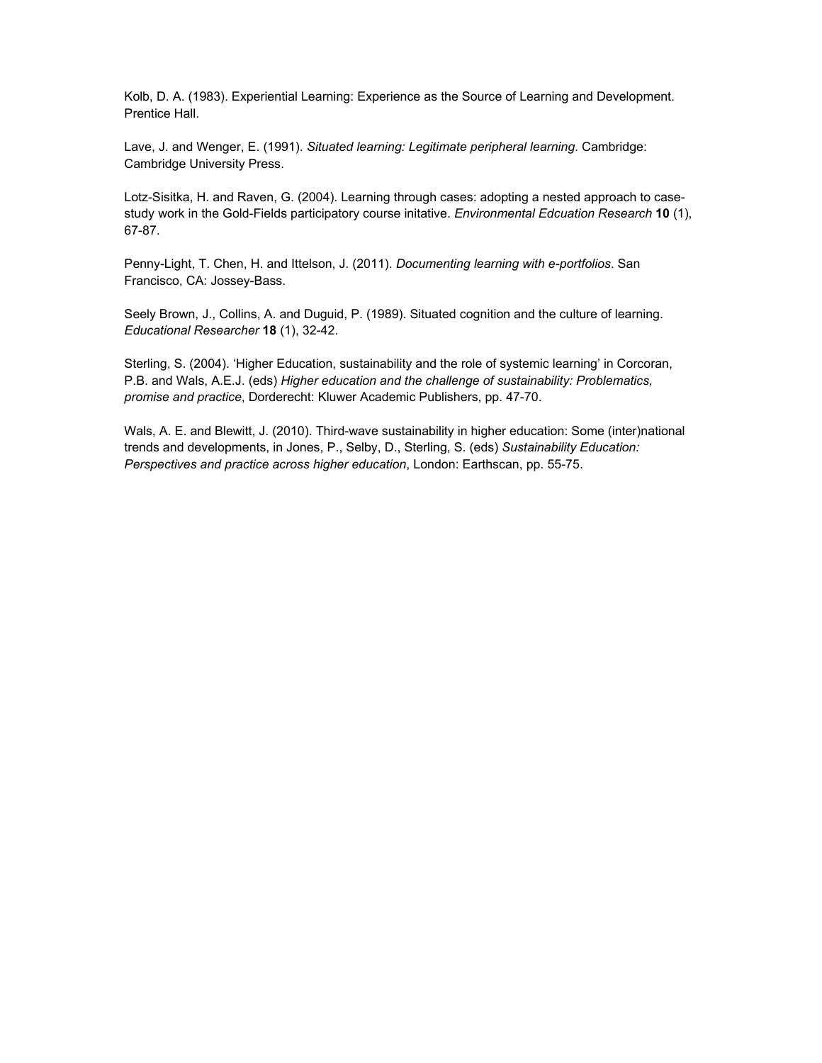Kolb, D. A. (1983). Experiential Learning: Experience as the Source of Learning and Development. Prentice Hall.

Lave, J. and Wenger, E. (1991). *Situated learning: Legitimate peripheral learning*. Cambridge: Cambridge University Press.

Lotz-Sisitka, H. and Raven, G. (2004). Learning through cases: adopting a nested approach to casestudy work in the Gold-Fields participatory course initative. *Environmental Edcuation Research* **10** (1), 67-87.

Penny-Light, T. Chen, H. and Ittelson, J. (2011). *Documenting learning with e-portfolios*. San Francisco, CA: Jossey-Bass.

Seely Brown, J., Collins, A. and Duguid, P. (1989). Situated cognition and the culture of learning. *Educational Researcher* **18** (1), 32-42.

Sterling, S. (2004). 'Higher Education, sustainability and the role of systemic learning' in Corcoran, P.B. and Wals, A.E.J. (eds) *Higher education and the challenge of sustainability: Problematics, promise and practice*, Dorderecht: Kluwer Academic Publishers, pp. 47-70.

Wals, A. E. and Blewitt, J. (2010). Third-wave sustainability in higher education: Some (inter)national trends and developments, in Jones, P., Selby, D., Sterling, S. (eds) *Sustainability Education: Perspectives and practice across higher education*, London: Earthscan, pp. 55-75.